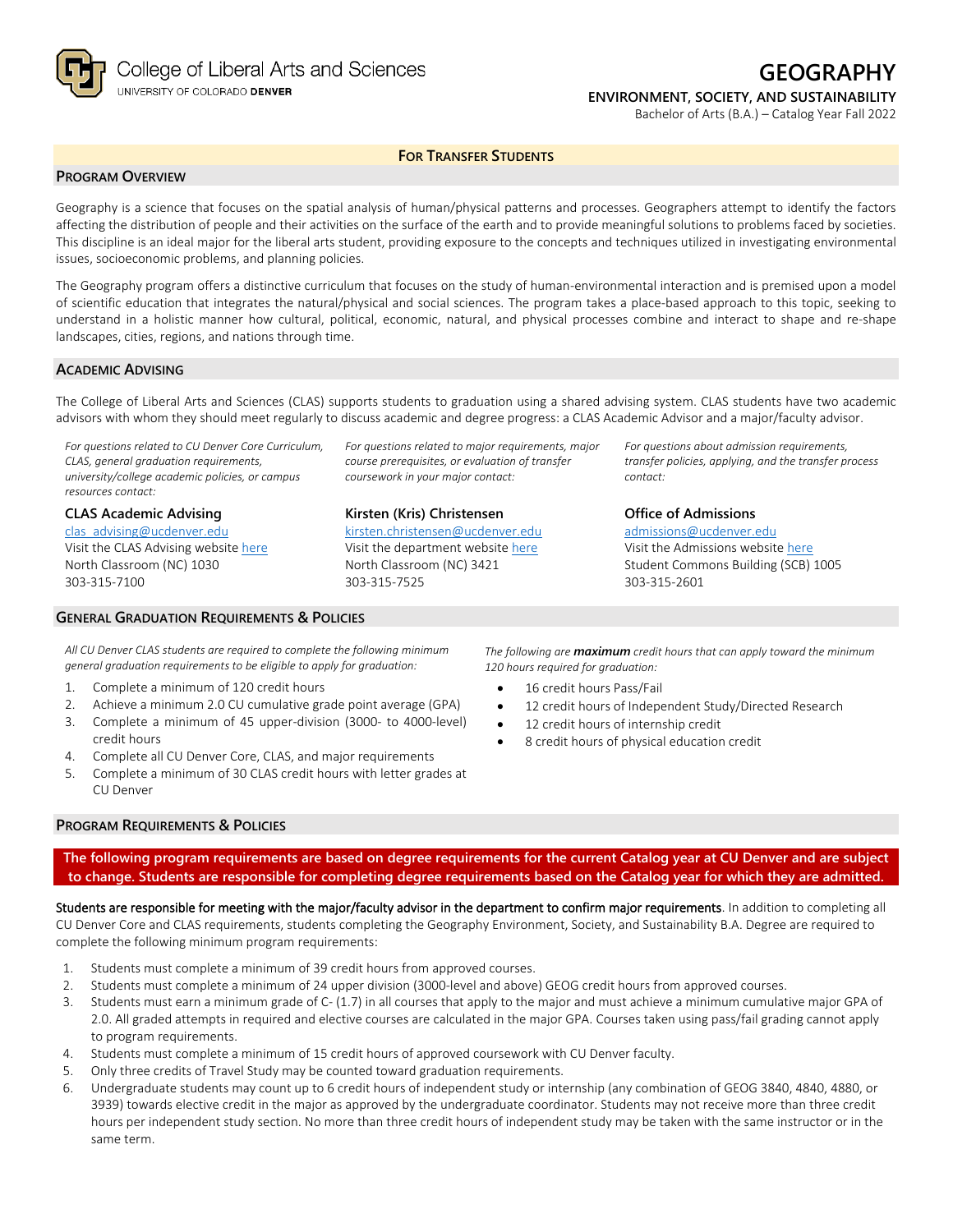

# **GEOGRAPHY**

## **ENVIRONMENT, SOCIETY, AND SUSTAINABILITY**

*For questions about admission requirements, transfer policies, applying, and the transfer process* 

Bachelor of Arts (B.A.) – Catalog Year Fall 2022

### **FOR TRANSFER STUDENTS**

### **PROGRAM OVERVIEW**

Geography is a science that focuses on the spatial analysis of human/physical patterns and processes. Geographers attempt to identify the factors affecting the distribution of people and their activities on the surface of the earth and to provide meaningful solutions to problems faced by societies. This discipline is an ideal major for the liberal arts student, providing exposure to the concepts and techniques utilized in investigating environmental issues, socioeconomic problems, and planning policies.

The Geography program offers a distinctive curriculum that focuses on the study of human-environmental interaction and is premised upon a model of scientific education that integrates the natural/physical and social sciences. The program takes a place-based approach to this topic, seeking to understand in a holistic manner how cultural, political, economic, natural, and physical processes combine and interact to shape and re-shape landscapes, cities, regions, and nations through time.

#### **ACADEMIC ADVISING**

The College of Liberal Arts and Sciences (CLAS) supports students to graduation using a shared advising system. CLAS students have two academic advisors with whom they should meet regularly to discuss academic and degree progress: a CLAS Academic Advisor and a major/faculty advisor.

> *For questions related to major requirements, major course prerequisites, or evaluation of transfer coursework in your major contact:*

**Kirsten (Kris) Christensen** [kirsten.christensen@ucdenver.edu](mailto:kirsten.christensen@ucdenver.edu) Visit the department website [here](https://clas.ucdenver.edu/ges/) North Classroom (NC) 3421

303-315-7525

*For questions related to CU Denver Core Curriculum, CLAS, general graduation requirements, university/college academic policies, or campus resources contact:*

#### **CLAS Academic Advising**

[clas\\_advising@ucdenver.edu](mailto:clas_advising@ucdenver.edu) Visit the CLAS Advising websit[e here](https://clas.ucdenver.edu/advising/) North Classroom (NC) 1030 303-315-7100

### **GENERAL GRADUATION REQUIREMENTS & POLICIES**

*All CU Denver CLAS students are required to complete the following minimum general graduation requirements to be eligible to apply for graduation:*

- 1. Complete a minimum of 120 credit hours
- 2. Achieve a minimum 2.0 CU cumulative grade point average (GPA)
- 3. Complete a minimum of 45 upper-division (3000- to 4000-level) credit hours
- 4. Complete all CU Denver Core, CLAS, and major requirements
- 5. Complete a minimum of 30 CLAS credit hours with letter grades at CU Denver

303-315-2601

*contact:*

*The following are maximum credit hours that can apply toward the minimum 120 hours required for graduation:*

**Office of Admissions** [admissions@ucdenver.edu](mailto:admissions@ucdenver.edu) Visit the Admissions website [here](http://www.ucdenver.edu/admissions/Pages/index.aspx) Student Commons Building (SCB) 1005

- 16 credit hours Pass/Fail
- 12 credit hours of Independent Study/Directed Research
- 12 credit hours of internship credit
- 8 credit hours of physical education credit

### **PROGRAM REQUIREMENTS & POLICIES**

**The following program requirements are based on degree requirements for the current Catalog year at CU Denver and are subject to change. Students are responsible for completing degree requirements based on the Catalog year for which they are admitted.**

Students are responsible for meeting with the major/faculty advisor in the department to confirm major requirements. In addition to completing all CU Denver Core and CLAS requirements, students completing the Geography Environment, Society, and Sustainability B.A. Degree are required to complete the following minimum program requirements:

- 1. Students must complete a minimum of 39 credit hours from approved courses.
- 2. Students must complete a minimum of 24 upper division (3000-level and above) GEOG credit hours from approved courses.
- 3. Students must earn a minimum grade of C- (1.7) in all courses that apply to the major and must achieve a minimum cumulative major GPA of 2.0. All graded attempts in required and elective courses are calculated in the major GPA. Courses taken using pass/fail grading cannot apply to program requirements.
- 4. Students must complete a minimum of 15 credit hours of approved coursework with CU Denver faculty.
- 5. Only three credits of Travel Study may be counted toward graduation requirements.
- 6. Undergraduate students may count up to 6 credit hours of independent study or internship (any combination of GEOG 3840, 4840, 4880, or 3939) towards elective credit in the major as approved by the undergraduate coordinator. Students may not receive more than three credit hours per independent study section. No more than three credit hours of independent study may be taken with the same instructor or in the same term.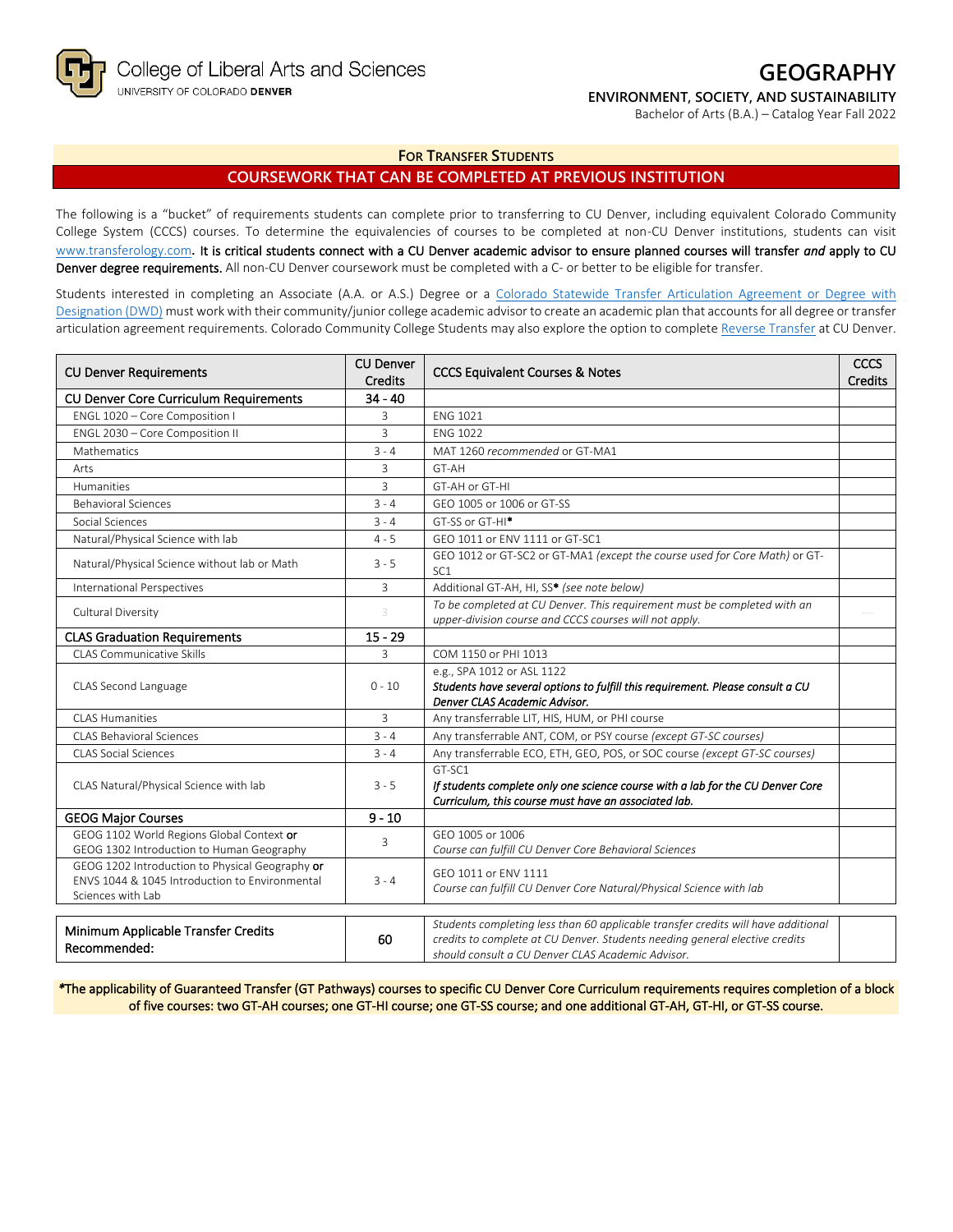

## **GEOGRAPHY**

### **ENVIRONMENT, SOCIETY, AND SUSTAINABILITY**

Bachelor of Arts (B.A.) – Catalog Year Fall 2022

**FOR TRANSFER STUDENTS**

### **COURSEWORK THAT CAN BE COMPLETED AT PREVIOUS INSTITUTION**

The following is a "bucket" of requirements students can complete prior to transferring to CU Denver, including equivalent Colorado Community College System (CCCS) courses. To determine the equivalencies of courses to be completed at non-CU Denver institutions, students can visit [www.transferology.com](http://www.transferology.com/)**.** It is critical students connect with a CU Denver academic advisor to ensure planned courses will transfer *and* apply to CU Denver degree requirements. All non-CU Denver coursework must be completed with a C- or better to be eligible for transfer.

Students interested in completing an Associate (A.A. or A.S.) Degree or a Colorado Statewide Transfer Articulation Agreement or Degree with [Designation \(DWD\)](https://highered.colorado.gov/transfer-degrees) must work with their community/junior college academic advisor to create an academic plan that accounts for all degree or transfer articulation agreement requirements. Colorado Community College Students may also explore the option to complet[e Reverse Transfer](https://highered.colorado.gov/students/attending-college/colorado-reverse-transfer) at CU Denver.

| <b>CU Denver Requirements</b>                                                                                          | <b>CU Denver</b><br>Credits | <b>CCCS Equivalent Courses &amp; Notes</b>                                                                                                                                                                            |  |
|------------------------------------------------------------------------------------------------------------------------|-----------------------------|-----------------------------------------------------------------------------------------------------------------------------------------------------------------------------------------------------------------------|--|
| <b>CU Denver Core Curriculum Requirements</b>                                                                          | $34 - 40$                   |                                                                                                                                                                                                                       |  |
| ENGL 1020 - Core Composition I                                                                                         | 3                           | <b>FNG 1021</b>                                                                                                                                                                                                       |  |
| ENGL 2030 - Core Composition II                                                                                        | 3                           | <b>ENG 1022</b>                                                                                                                                                                                                       |  |
| <b>Mathematics</b>                                                                                                     | $3 - 4$                     | MAT 1260 recommended or GT-MA1                                                                                                                                                                                        |  |
| Arts                                                                                                                   | 3                           | GT-AH                                                                                                                                                                                                                 |  |
| Humanities                                                                                                             | 3                           | GT-AH or GT-HI                                                                                                                                                                                                        |  |
| <b>Behavioral Sciences</b>                                                                                             | $3 - 4$                     | GFO 1005 or 1006 or GT-SS                                                                                                                                                                                             |  |
| Social Sciences                                                                                                        | $3 - 4$                     | GT-SS or GT-HI <sup>*</sup>                                                                                                                                                                                           |  |
| Natural/Physical Science with lab                                                                                      | $4 - 5$                     | GEO 1011 or ENV 1111 or GT-SC1                                                                                                                                                                                        |  |
| Natural/Physical Science without lab or Math                                                                           | $3 - 5$                     | GEO 1012 or GT-SC2 or GT-MA1 (except the course used for Core Math) or GT-<br>SC <sub>1</sub>                                                                                                                         |  |
| <b>International Perspectives</b>                                                                                      | 3                           | Additional GT-AH, HI, SS* (see note below)                                                                                                                                                                            |  |
| Cultural Diversity                                                                                                     |                             | To be completed at CU Denver. This requirement must be completed with an<br>upper-division course and CCCS courses will not apply.                                                                                    |  |
| <b>CLAS Graduation Requirements</b>                                                                                    | $15 - 29$                   |                                                                                                                                                                                                                       |  |
| <b>CLAS Communicative Skills</b>                                                                                       | 3                           | COM 1150 or PHI 1013                                                                                                                                                                                                  |  |
| CLAS Second Language                                                                                                   | $0 - 10$                    | e.g., SPA 1012 or ASL 1122<br>Students have several options to fulfill this requirement. Please consult a CU<br>Denver CLAS Academic Advisor.                                                                         |  |
| CLAS Humanities                                                                                                        | $\overline{3}$              | Any transferrable LIT, HIS, HUM, or PHI course                                                                                                                                                                        |  |
| CLAS Behavioral Sciences                                                                                               | $3 - 4$                     | Any transferrable ANT, COM, or PSY course (except GT-SC courses)                                                                                                                                                      |  |
| <b>CLAS Social Sciences</b>                                                                                            | $3 - 4$                     | Any transferrable ECO, ETH, GEO, POS, or SOC course (except GT-SC courses)                                                                                                                                            |  |
| CLAS Natural/Physical Science with lab                                                                                 | $3 - 5$                     | GT-SC1<br>If students complete only one science course with a lab for the CU Denver Core<br>Curriculum, this course must have an associated lab.                                                                      |  |
| <b>GEOG Major Courses</b>                                                                                              | $9 - 10$                    |                                                                                                                                                                                                                       |  |
| GEOG 1102 World Regions Global Context or<br>GEOG 1302 Introduction to Human Geography                                 | 3                           | GEO 1005 or 1006<br>Course can fulfill CU Denver Core Behavioral Sciences                                                                                                                                             |  |
| GEOG 1202 Introduction to Physical Geography or<br>ENVS 1044 & 1045 Introduction to Environmental<br>Sciences with Lab | $3 - 4$                     | GEO 1011 or ENV 1111<br>Course can fulfill CU Denver Core Natural/Physical Science with lab                                                                                                                           |  |
| Minimum Applicable Transfer Credits<br>Recommended:                                                                    | 60                          | Students completing less than 60 applicable transfer credits will have additional<br>credits to complete at CU Denver. Students needing general elective credits<br>should consult a CU Denver CLAS Academic Advisor. |  |

*\**The applicability of Guaranteed Transfer (GT Pathways) courses to specific CU Denver Core Curriculum requirements requires completion of a block of five courses: two GT-AH courses; one GT-HI course; one GT-SS course; and one additional GT-AH, GT-HI, or GT-SS course.